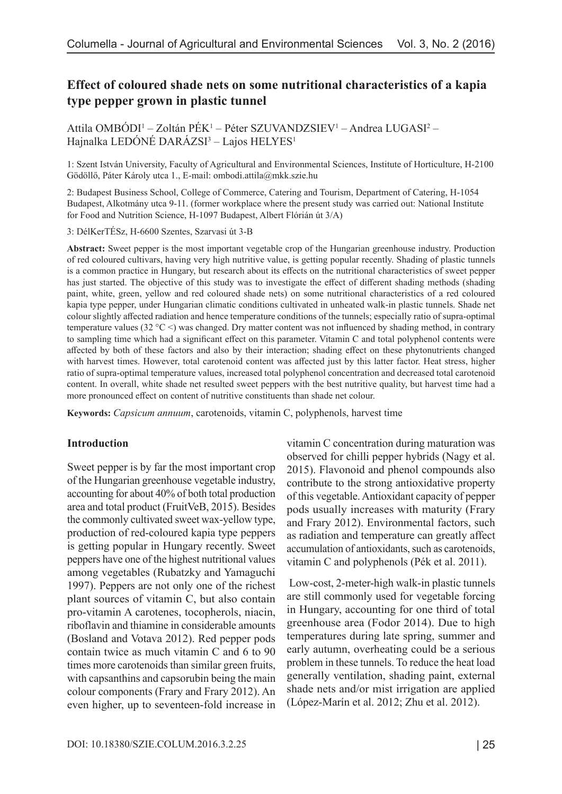# **Effect of coloured shade nets on some nutritional characteristics of a kapia type pepper grown in plastic tunnel**

Attila OMBÓDI<sup>1</sup> – Zoltán PÉK<sup>1</sup> – Péter SZUVANDZSIEV<sup>1</sup> – Andrea LUGASI<sup>2</sup> – Hajnalka LEDÓNÉ DARÁZSI<sup>3</sup> – Lajos HELYES<sup>1</sup>

1: Szent István University, Faculty of Agricultural and Environmental Sciences, Institute of Horticulture, H-2100 Gödöllő, Páter Károly utca 1., E-mail: ombodi.attila@mkk.szie.hu

2: Budapest Business School, College of Commerce, Catering and Tourism, Department of Catering, H-1054 Budapest, Alkotmány utca 9-11. (former workplace where the present study was carried out: National Institute for Food and Nutrition Science, H-1097 Budapest, Albert Flórián út 3/A)

3: DélKerTÉSz, H-6600 Szentes, Szarvasi út 3-B

**Abstract:** Sweet pepper is the most important vegetable crop of the Hungarian greenhouse industry. Production of red coloured cultivars, having very high nutritive value, is getting popular recently. Shading of plastic tunnels is a common practice in Hungary, but research about its effects on the nutritional characteristics of sweet pepper has just started. The objective of this study was to investigate the effect of different shading methods (shading paint, white, green, yellow and red coloured shade nets) on some nutritional characteristics of a red coloured kapia type pepper, under Hungarian climatic conditions cultivated in unheated walk-in plastic tunnels. Shade net colour slightly affected radiation and hence temperature conditions of the tunnels; especially ratio of supra-optimal temperature values (32  $\degree$ C <) was changed. Dry matter content was not influenced by shading method, in contrary to sampling time which had a significant effect on this parameter. Vitamin C and total polyphenol contents were affected by both of these factors and also by their interaction; shading effect on these phytonutrients changed with harvest times. However, total carotenoid content was affected just by this latter factor. Heat stress, higher ratio of supra-optimal temperature values, increased total polyphenol concentration and decreased total carotenoid content. In overall, white shade net resulted sweet peppers with the best nutritive quality, but harvest time had a more pronounced effect on content of nutritive constituents than shade net colour.

**Keywords:** *Capsicum annuum*, carotenoids, vitamin C, polyphenols, harvest time

#### **Introduction**

Sweet pepper is by far the most important crop of the Hungarian greenhouse vegetable industry, accounting for about 40% of both total production area and total product (FruitVeB, 2015). Besides the commonly cultivated sweet wax-yellow type, production of red-coloured kapia type peppers is getting popular in Hungary recently. Sweet peppers have one of the highest nutritional values among vegetables (Rubatzky and Yamaguchi 1997). Peppers are not only one of the richest plant sources of vitamin C, but also contain pro-vitamin A carotenes, tocopherols, niacin, riboflavin and thiamine in considerable amounts (Bosland and Votava 2012). Red pepper pods contain twice as much vitamin C and 6 to 90 times more carotenoids than similar green fruits, with capsanthins and capsorubin being the main colour components (Frary and Frary 2012). An even higher, up to seventeen-fold increase in vitamin C concentration during maturation was observed for chilli pepper hybrids (Nagy et al. 2015). Flavonoid and phenol compounds also contribute to the strong antioxidative property of this vegetable. Antioxidant capacity of pepper pods usually increases with maturity (Frary and Frary 2012). Environmental factors, such as radiation and temperature can greatly affect accumulation of antioxidants, such as carotenoids, vitamin C and polyphenols (Pék et al. 2011).

 Low-cost, 2-meter-high walk-in plastic tunnels are still commonly used for vegetable forcing in Hungary, accounting for one third of total greenhouse area (Fodor 2014). Due to high temperatures during late spring, summer and early autumn, overheating could be a serious problem in these tunnels. To reduce the heat load generally ventilation, shading paint, external shade nets and/or mist irrigation are applied (López-Marín et al. 2012; Zhu et al. 2012).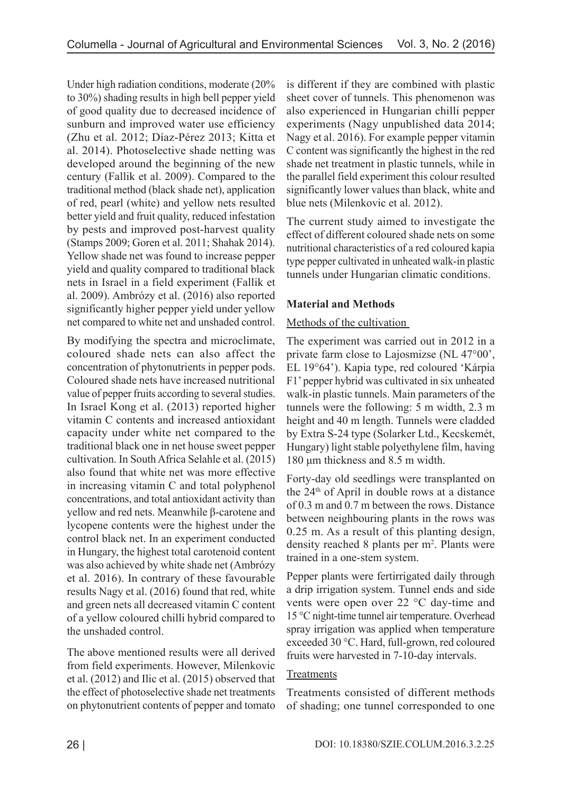Under high radiation conditions, moderate (20% to 30%) shading results in high bell pepper yield of good quality due to decreased incidence of sunburn and improved water use efficiency (Zhu et al. 2012; Díaz-Pérez 2013; Kitta et al. 2014). Photoselective shade netting was developed around the beginning of the new century (Fallik et al. 2009). Compared to the traditional method (black shade net), application of red, pearl (white) and yellow nets resulted better yield and fruit quality, reduced infestation by pests and improved post-harvest quality (Stamps 2009; Goren et al. 2011; Shahak 2014). Yellow shade net was found to increase pepper yield and quality compared to traditional black nets in Israel in a field experiment (Fallik et al. 2009). Ambrózy et al. (2016) also reported significantly higher pepper yield under yellow net compared to white net and unshaded control.

By modifying the spectra and microclimate, coloured shade nets can also affect the concentration of phytonutrients in pepper pods. Coloured shade nets have increased nutritional value of pepper fruits according to several studies. In Israel Kong et al. (2013) reported higher vitamin C contents and increased antioxidant capacity under white net compared to the traditional black one in net house sweet pepper cultivation. In South Africa Selahle et al. (2015) also found that white net was more effective in increasing vitamin C and total polyphenol concentrations, and total antioxidant activity than yellow and red nets. Meanwhile β-carotene and lycopene contents were the highest under the control black net. In an experiment conducted in Hungary, the highest total carotenoid content was also achieved by white shade net (Ambrózy et al. 2016). In contrary of these favourable results Nagy et al. (2016) found that red, white and green nets all decreased vitamin C content of a yellow coloured chilli hybrid compared to the unshaded control.

The above mentioned results were all derived from field experiments. However, Milenkovic et al. (2012) and Ilic et al. (2015) observed that the effect of photoselective shade net treatments on phytonutrient contents of pepper and tomato

is different if they are combined with plastic sheet cover of tunnels. This phenomenon was also experienced in Hungarian chilli pepper experiments (Nagy unpublished data 2014; Nagy et al. 2016). For example pepper vitamin C content was significantly the highest in the red shade net treatment in plastic tunnels, while in the parallel field experiment this colour resulted significantly lower values than black, white and blue nets (Milenkovic et al. 2012).

The current study aimed to investigate the effect of different coloured shade nets on some nutritional characteristics of a red coloured kapia type pepper cultivated in unheated walk-in plastic tunnels under Hungarian climatic conditions.

## **Material and Methods**

## Methods of the cultivation

The experiment was carried out in 2012 in a private farm close to Lajosmizse (NL 47°00', EL 19°64'). Kapia type, red coloured 'Kárpia F1' pepper hybrid was cultivated in six unheated walk-in plastic tunnels. Main parameters of the tunnels were the following: 5 m width, 2.3 m height and 40 m length. Tunnels were cladded by Extra S-24 type (Solarker Ltd., Kecskemét, Hungary) light stable polyethylene film, having 180 μm thickness and 8.5 m width.

Forty-day old seedlings were transplanted on the 24th of April in double rows at a distance of 0.3 m and 0.7 m between the rows. Distance between neighbouring plants in the rows was 0.25 m. As a result of this planting design, density reached 8 plants per m<sup>2</sup>. Plants were trained in a one-stem system.

Pepper plants were fertirrigated daily through a drip irrigation system. Tunnel ends and side vents were open over 22 °C day-time and 15 °C night-time tunnel air temperature. Overhead spray irrigation was applied when temperature exceeded 30 °C. Hard, full-grown, red coloured fruits were harvested in 7-10-day intervals.

## Treatments

Treatments consisted of different methods of shading; one tunnel corresponded to one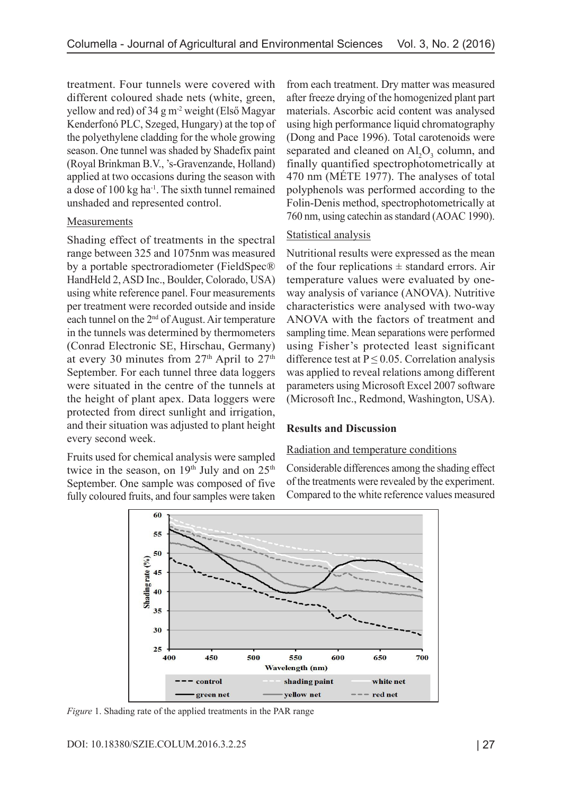treatment. Four tunnels were covered with different coloured shade nets (white, green, yellow and red) of 34 g m-2 weight (Első Magyar Kenderfonó PLC, Szeged, Hungary) at the top of the polyethylene cladding for the whole growing season. One tunnel was shaded by Shadefix paint (Royal Brinkman B.V., 's-Gravenzande, Holland) applied at two occasions during the season with a dose of 100 kg ha-1. The sixth tunnel remained unshaded and represented control.

#### Measurements

Shading effect of treatments in the spectral range between 325 and 1075nm was measured by a portable spectroradiometer (FieldSpec® HandHeld 2, ASD Inc., Boulder, Colorado, USA) using white reference panel. Four measurements per treatment were recorded outside and inside each tunnel on the 2<sup>nd</sup> of August. Air temperature in the tunnels was determined by thermometers (Conrad Electronic SE, Hirschau, Germany) at every 30 minutes from  $27<sup>th</sup>$  April to  $27<sup>th</sup>$ September. For each tunnel three data loggers were situated in the centre of the tunnels at the height of plant apex. Data loggers were protected from direct sunlight and irrigation, and their situation was adjusted to plant height every second week.

Fruits used for chemical analysis were sampled twice in the season, on  $19<sup>th</sup>$  July and on  $25<sup>th</sup>$ September. One sample was composed of five fully coloured fruits, and four samples were taken from each treatment. Dry matter was measured after freeze drying of the homogenized plant part materials. Ascorbic acid content was analysed using high performance liquid chromatography (Dong and Pace 1996). Total carotenoids were separated and cleaned on  $\text{Al}_2\text{O}_3$  column, and finally quantified spectrophotometrically at 470 nm (MÉTE 1977). The analyses of total polyphenols was performed according to the Folin-Denis method, spectrophotometrically at 760 nm, using catechin as standard (AOAC 1990).

## Statistical analysis

Nutritional results were expressed as the mean of the four replications  $\pm$  standard errors. Air temperature values were evaluated by oneway analysis of variance (ANOVA). Nutritive characteristics were analysed with two-way ANOVA with the factors of treatment and sampling time. Mean separations were performed using Fisher's protected least significant difference test at  $P \le 0.05$ . Correlation analysis was applied to reveal relations among different parameters using Microsoft Excel 2007 software (Microsoft Inc., Redmond, Washington, USA).

## **Results and Discussion**

#### Radiation and temperature conditions

Considerable differences among the shading effect of the treatments were revealed by the experiment. Compared to the white reference values measured



*Figure* 1. Shading rate of the applied treatments in the PAR range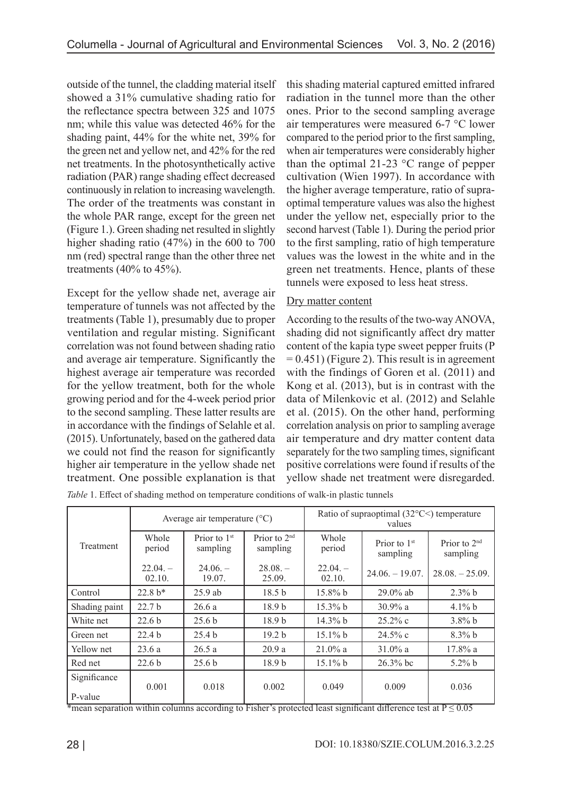outside of the tunnel, the cladding material itself showed a 31% cumulative shading ratio for the reflectance spectra between 325 and 1075 nm; while this value was detected 46% for the shading paint, 44% for the white net, 39% for the green net and yellow net, and 42% for the red net treatments. In the photosynthetically active radiation (PAR) range shading effect decreased continuously in relation to increasing wavelength. The order of the treatments was constant in the whole PAR range, except for the green net (Figure 1.). Green shading net resulted in slightly higher shading ratio (47%) in the 600 to 700 nm (red) spectral range than the other three net treatments  $(40\% \text{ to } 45\%).$ 

Except for the yellow shade net, average air temperature of tunnels was not affected by the treatments (Table 1), presumably due to proper ventilation and regular misting. Significant correlation was not found between shading ratio and average air temperature. Significantly the highest average air temperature was recorded for the yellow treatment, both for the whole growing period and for the 4-week period prior to the second sampling. These latter results are in accordance with the findings of Selahle et al. (2015). Unfortunately, based on the gathered data we could not find the reason for significantly higher air temperature in the yellow shade net treatment. One possible explanation is that this shading material captured emitted infrared radiation in the tunnel more than the other ones. Prior to the second sampling average air temperatures were measured 6-7 °C lower compared to the period prior to the first sampling, when air temperatures were considerably higher than the optimal 21-23 °C range of pepper cultivation (Wien 1997). In accordance with the higher average temperature, ratio of supraoptimal temperature values was also the highest under the yellow net, especially prior to the second harvest (Table 1). During the period prior to the first sampling, ratio of high temperature values was the lowest in the white and in the green net treatments. Hence, plants of these tunnels were exposed to less heat stress.

## Dry matter content

According to the results of the two-way ANOVA, shading did not significantly affect dry matter content of the kapia type sweet pepper fruits (P  $= 0.451$ ) (Figure 2). This result is in agreement with the findings of Goren et al. (2011) and Kong et al. (2013), but is in contrast with the data of Milenkovic et al. (2012) and Selahle et al. (2015). On the other hand, performing correlation analysis on prior to sampling average air temperature and dry matter content data separately for the two sampling times, significant positive correlations were found if results of the yellow shade net treatment were disregarded.

*Table* 1. Effect of shading method on temperature conditions of walk-in plastic tunnels

|                         | Average air temperature $({}^{\circ}C)$ |                            |                            | Ratio of supraoptimal $(32^{\circ}$ C $<$ ) temperature<br>values |                            |                            |
|-------------------------|-----------------------------------------|----------------------------|----------------------------|-------------------------------------------------------------------|----------------------------|----------------------------|
| Treatment               | Whole<br>period                         | Prior to $1st$<br>sampling | Prior to $2nd$<br>sampling | Whole<br>period                                                   | Prior to $1st$<br>sampling | Prior to $2nd$<br>sampling |
|                         | $22.04. -$<br>02.10.                    | $24.06. -$<br>19.07.       | $28.08. -$<br>25.09.       | $22.04. -$<br>02.10.                                              | $24.06. - 19.07.$          | $28.08 - 25.09$ .          |
| Control                 | $22.8 b*$                               | $25.9$ ab                  | 18.5 <sub>b</sub>          | $15.8\%$ b                                                        | $29.0\%$ ab                | $2.3\%$ b                  |
| Shading paint           | 22.7 <sub>b</sub>                       | 26.6a                      | 18.9 <sub>b</sub>          | $15.3\%$ b                                                        | $30.9\%$ a                 | $4.1\%$ b                  |
| White net               | 22.6 <sub>b</sub>                       | 25.6 <sub>b</sub>          | 18.9 <sub>b</sub>          | 14.3% b                                                           | $25.2\%$ c                 | $3.8\%$ b                  |
| Green net               | 22.4 <sub>b</sub>                       | 25.4 <sub>b</sub>          | 19.2 <sub>b</sub>          | $15.1\%$ b                                                        | $24.5\%$ c                 | $8.3\%$ b                  |
| Yellow net              | 23.6a                                   | 26.5a                      | 20.9a                      | $21.0\%$ a                                                        | $31.0\%$ a                 | $17.8\%$ a                 |
| Red net                 | 22.6 <sub>b</sub>                       | 25.6 <sub>b</sub>          | 18.9 <sub>b</sub>          | $15.1\%$ b                                                        | $26.3%$ bc                 | $5.2\% b$                  |
| Significance<br>P-value | 0.001                                   | 0.018                      | 0.002                      | 0.049                                                             | 0.009                      | 0.036                      |

\*mean separation within columns according to Fisher's protected least significant difference test at  $P \le 0.05$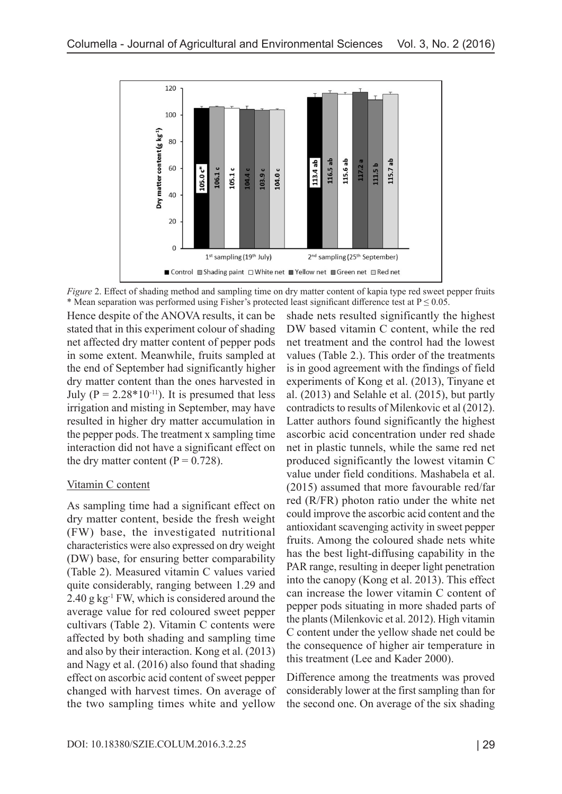

*Figure 2*. Effect of shading method and sampling time on dry matter content of kapia type red sweet pepper fruits \* Mean separation was performed using Fisher's protected least significant difference test at  $P \le 0.05$ .

Hence despite of the ANOVA results, it can be stated that in this experiment colour of shading net affected dry matter content of pepper pods in some extent. Meanwhile, fruits sampled at the end of September had significantly higher dry matter content than the ones harvested in July ( $P = 2.28*10<sup>-11</sup>$ ). It is presumed that less irrigation and misting in September, may have resulted in higher dry matter accumulation in the pepper pods. The treatment x sampling time interaction did not have a significant effect on the dry matter content ( $P = 0.728$ ).

#### Vitamin C content

As sampling time had a significant effect on dry matter content, beside the fresh weight (FW) base, the investigated nutritional characteristics were also expressed on dry weight (DW) base, for ensuring better comparability (Table 2). Measured vitamin C values varied quite considerably, ranging between 1.29 and  $2.40$  g kg<sup>-1</sup> FW, which is considered around the average value for red coloured sweet pepper cultivars (Table 2). Vitamin C contents were affected by both shading and sampling time and also by their interaction. Kong et al. (2013) and Nagy et al. (2016) also found that shading effect on ascorbic acid content of sweet pepper changed with harvest times. On average of the two sampling times white and yellow

shade nets resulted significantly the highest DW based vitamin C content, while the red net treatment and the control had the lowest values (Table 2.). This order of the treatments is in good agreement with the findings of field experiments of Kong et al. (2013), Tinyane et al. (2013) and Selahle et al. (2015), but partly contradicts to results of Milenkovic et al (2012). Latter authors found significantly the highest ascorbic acid concentration under red shade net in plastic tunnels, while the same red net produced significantly the lowest vitamin C value under field conditions. Mashabela et al. (2015) assumed that more favourable red/far red (R/FR) photon ratio under the white net could improve the ascorbic acid content and the antioxidant scavenging activity in sweet pepper fruits. Among the coloured shade nets white has the best light-diffusing capability in the PAR range, resulting in deeper light penetration into the canopy (Kong et al. 2013). This effect can increase the lower vitamin C content of pepper pods situating in more shaded parts of the plants (Milenkovic et al. 2012). High vitamin C content under the yellow shade net could be the consequence of higher air temperature in this treatment (Lee and Kader 2000).

Difference among the treatments was proved considerably lower at the first sampling than for the second one. On average of the six shading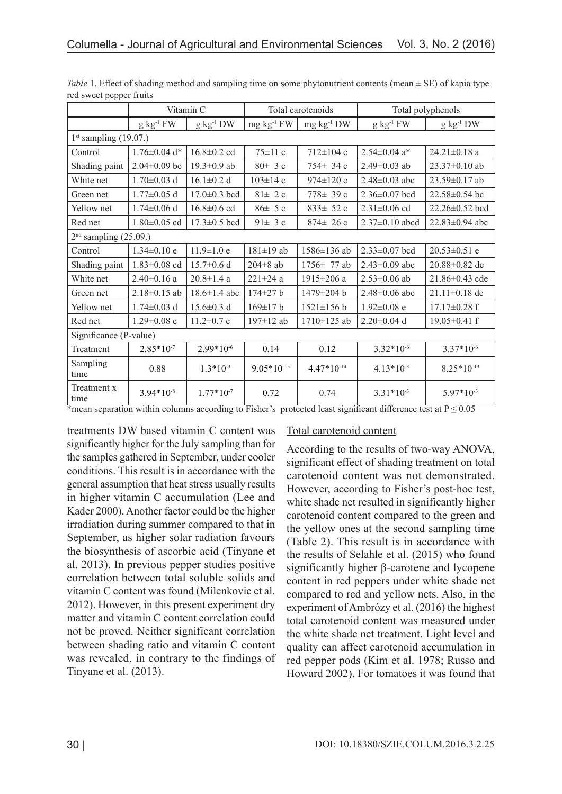|                         | Vitamin C          |                    | Total carotenoids |                    | Total polyphenols            |                      |  |  |  |  |
|-------------------------|--------------------|--------------------|-------------------|--------------------|------------------------------|----------------------|--|--|--|--|
|                         | $g \ kg^{-1} FW$   | $g kg^{-1} DW$     | $mg \ kg^{-1} FW$ | $mg \, kg^{-1} DW$ | $g \ kg^{-1} FW$             | $g kg^{-1} DW$       |  |  |  |  |
| $1st$ sampling (19.07.) |                    |                    |                   |                    |                              |                      |  |  |  |  |
| Control                 | $1.76 \pm 0.04$ d* | $16.8 \pm 0.2$ cd  | $75 \pm 11$ c     | 712±104 c          | $2.54\pm0.04$ a <sup>*</sup> | $24.21 \pm 0.18$ a   |  |  |  |  |
| Shading paint           | $2.04 \pm 0.09$ bc | $19.3 \pm 0.9$ ab  | $80 \pm 3c$       | $754 \pm 34$ c     | $2.49\pm0.03$ ab             | $23.37\pm0.10$ ab    |  |  |  |  |
| White net               | $1.70 \pm 0.03$ d  | $16.1 \pm 0.2$ d   | $103 \pm 14$ c    | $974 \pm 120$ c    | $2.48 \pm 0.03$ abc          | 23.59±0.17 ab        |  |  |  |  |
| Green net               | $1.77 \pm 0.05$ d  | $17.0 \pm 0.3$ bcd | $81 \pm 2c$       | 778± 39 с          | $2.36\pm0.07$ bcd            | $22.58 \pm 0.54$ bc  |  |  |  |  |
| Yellow net              | $1.74 \pm 0.06$ d  | $16.8 \pm 0.6$ cd  | $86 \pm 5c$       | $833 \pm 52c$      | $2.31 \pm 0.06$ cd           | 22.26±0.52 bcd       |  |  |  |  |
| Red net                 | $1.80 \pm 0.05$ cd | $17.3 \pm 0.5$ bcd | 91 $\pm$ 3 c      | $874 \pm 26$ c     | $2.37 \pm 0.10$ abcd         | $22.83 \pm 0.94$ abc |  |  |  |  |
| $2nd$ sampling (25.09.) |                    |                    |                   |                    |                              |                      |  |  |  |  |
| Control                 | $1.34 \pm 0.10$ e  | $11.9 \pm 1.0 e$   | $181 \pm 19$ ab   | 1586±136 ab        | $2.33 \pm 0.07$ bcd          | $20.53 \pm 0.51$ e   |  |  |  |  |
| Shading paint           | $1.83 \pm 0.08$ cd | $15.7 \pm 0.6$ d   | $204\pm8$ ab      | 1756± 77 ab        | $2.43 \pm 0.09$ abc          | 20.88±0.82 de        |  |  |  |  |
| White net               | $2.40 \pm 0.16$ a  | $20.8 \pm 1.4$ a   | $221 \pm 24$ a    | 1915±206 a         | $2.53\pm0.06$ ab             | 21.86±0.43 cde       |  |  |  |  |
| Green net               | $2.18 \pm 0.15$ ab | $18.6 \pm 1.4$ abc | $174 \pm 27$ b    | 1479±204 b         | $2.48 \pm 0.06$ abc          | $21.11 \pm 0.18$ de  |  |  |  |  |
| Yellow net              | $1.74 \pm 0.03$ d  | $15.6 \pm 0.3$ d   | $169 \pm 17$ b    | $1521 \pm 156 b$   | $1.92 \pm 0.08$ e            | $17.17 \pm 0.28$ f   |  |  |  |  |
| Red net                 | $1.29 \pm 0.08$ e  | $11.2 \pm 0.7$ e   | 197±12 ab         | 1710±125 ab        | $2.20\pm0.04$ d              | $19.05 \pm 0.41$ f   |  |  |  |  |
| Significance (P-value)  |                    |                    |                   |                    |                              |                      |  |  |  |  |
| Treatment               | $2.85*10-7$        | $2.99*10^{-6}$     | 0.14              | 0.12               | $3.32*10^{-6}$               | $3.37*10^{-6}$       |  |  |  |  |
| Sampling<br>time        | 0.88               | $1.3*10^{-3}$      | $9.05*10^{-15}$   | $4.47*10^{-14}$    | $4.13*10-3$                  | $8.25*10-13$         |  |  |  |  |
| Treatment x<br>time     | $3.94*10-8$        | $1.77*10^{-7}$     | 0.72              | 0.74               | $3.31*10^{-3}$               | $5.97*10^{-3}$       |  |  |  |  |

*Table* 1. Effect of shading method and sampling time on some phytonutrient contents (mean ± SE) of kapia type red sweet pepper fruits

<sup>\*</sup>mean separation within columns according to Fisher's protected least significant difference test at  $P \le 0.05$ 

treatments DW based vitamin C content was significantly higher for the July sampling than for the samples gathered in September, under cooler conditions. This result is in accordance with the general assumption that heat stress usually results in higher vitamin C accumulation (Lee and Kader 2000). Another factor could be the higher irradiation during summer compared to that in September, as higher solar radiation favours the biosynthesis of ascorbic acid (Tinyane et al. 2013). In previous pepper studies positive correlation between total soluble solids and vitamin C content was found (Milenkovic et al. 2012). However, in this present experiment dry matter and vitamin C content correlation could not be proved. Neither significant correlation between shading ratio and vitamin C content was revealed, in contrary to the findings of Tinyane et al. (2013).

#### Total carotenoid content

According to the results of two-way ANOVA, significant effect of shading treatment on total carotenoid content was not demonstrated. However, according to Fisher's post-hoc test, white shade net resulted in significantly higher carotenoid content compared to the green and the yellow ones at the second sampling time (Table 2). This result is in accordance with the results of Selahle et al. (2015) who found significantly higher β-carotene and lycopene content in red peppers under white shade net compared to red and yellow nets. Also, in the experiment of Ambrózy et al. (2016) the highest total carotenoid content was measured under the white shade net treatment. Light level and quality can affect carotenoid accumulation in red pepper pods (Kim et al. 1978; Russo and Howard 2002). For tomatoes it was found that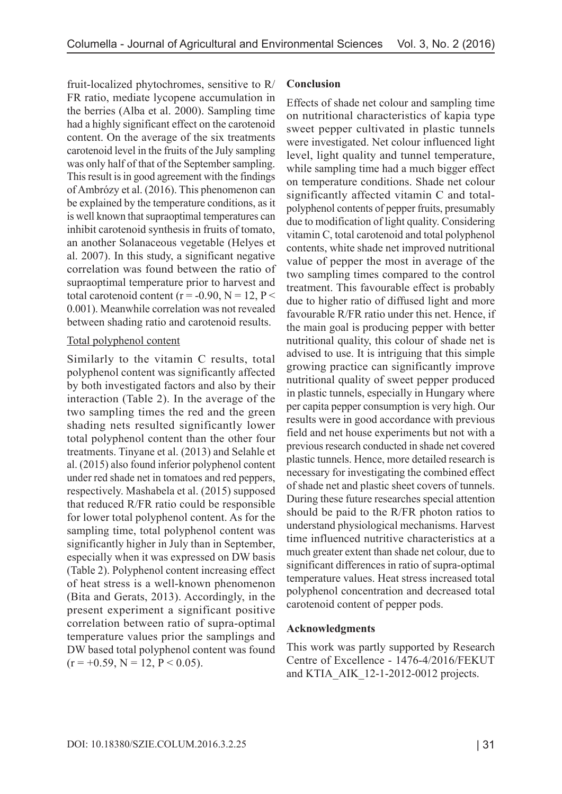fruit-localized phytochromes, sensitive to R/ FR ratio, mediate lycopene accumulation in the berries (Alba et al. 2000). Sampling time had a highly significant effect on the carotenoid content. On the average of the six treatments carotenoid level in the fruits of the July sampling was only half of that of the September sampling. This result is in good agreement with the findings of Ambrózy et al. (2016). This phenomenon can be explained by the temperature conditions, as it is well known that supraoptimal temperatures can inhibit carotenoid synthesis in fruits of tomato, an another Solanaceous vegetable (Helyes et al. 2007). In this study, a significant negative correlation was found between the ratio of supraoptimal temperature prior to harvest and total carotenoid content ( $r = -0.90$ ,  $N = 12$ ,  $P <$ 0.001). Meanwhile correlation was not revealed between shading ratio and carotenoid results.

#### Total polyphenol content

Similarly to the vitamin C results, total polyphenol content was significantly affected by both investigated factors and also by their interaction (Table 2). In the average of the two sampling times the red and the green shading nets resulted significantly lower total polyphenol content than the other four treatments. Tinyane et al. (2013) and Selahle et al. (2015) also found inferior polyphenol content under red shade net in tomatoes and red peppers, respectively. Mashabela et al. (2015) supposed that reduced R/FR ratio could be responsible for lower total polyphenol content. As for the sampling time, total polyphenol content was significantly higher in July than in September, especially when it was expressed on DW basis (Table 2). Polyphenol content increasing effect of heat stress is a well-known phenomenon (Bita and Gerats, 2013). Accordingly, in the present experiment a significant positive correlation between ratio of supra-optimal temperature values prior the samplings and DW based total polyphenol content was found  $(r = +0.59, N = 12, P < 0.05)$ .

### **Conclusion**

Effects of shade net colour and sampling time on nutritional characteristics of kapia type sweet pepper cultivated in plastic tunnels were investigated. Net colour influenced light level, light quality and tunnel temperature, while sampling time had a much bigger effect on temperature conditions. Shade net colour significantly affected vitamin C and totalpolyphenol contents of pepper fruits, presumably due to modification of light quality. Considering vitamin C, total carotenoid and total polyphenol contents, white shade net improved nutritional value of pepper the most in average of the two sampling times compared to the control treatment. This favourable effect is probably due to higher ratio of diffused light and more favourable R/FR ratio under this net. Hence, if the main goal is producing pepper with better nutritional quality, this colour of shade net is advised to use. It is intriguing that this simple growing practice can significantly improve nutritional quality of sweet pepper produced in plastic tunnels, especially in Hungary where per capita pepper consumption is very high. Our results were in good accordance with previous field and net house experiments but not with a previous research conducted in shade net covered plastic tunnels. Hence, more detailed research is necessary for investigating the combined effect of shade net and plastic sheet covers of tunnels. During these future researches special attention should be paid to the R/FR photon ratios to understand physiological mechanisms. Harvest time influenced nutritive characteristics at a much greater extent than shade net colour, due to significant differences in ratio of supra-optimal temperature values. Heat stress increased total polyphenol concentration and decreased total carotenoid content of pepper pods.

#### **Acknowledgments**

This work was partly supported by Research Centre of Excellence - 1476-4/2016/FEKUT and KTIA\_AIK\_12-1-2012-0012 projects.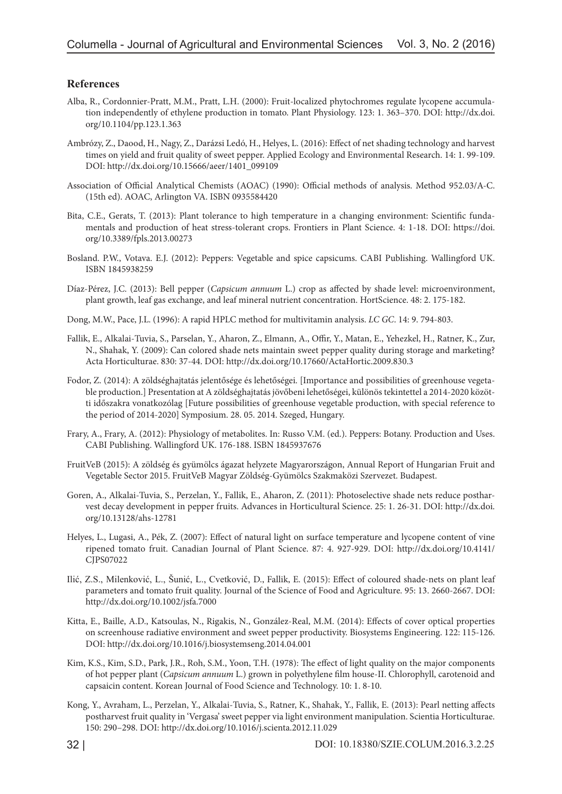#### **References**

- Alba, R., Cordonnier-Pratt, M.M., Pratt, L.H. (2000): Fruit-localized phytochromes regulate lycopene accumulation independently of ethylene production in tomato. Plant Physiology. 123: 1. 363–370. DOI: http://dx.doi. org/10.1104/pp.123.1.363
- Ambrózy, Z., Daood, H., Nagy, Z., Darázsi Ledó, H., Helyes, L. (2016): Effect of net shading technology and harvest times on yield and fruit quality of sweet pepper. Applied Ecology and Environmental Research. 14: 1. 99-109. DOI: http://dx.doi.org/10.15666/aeer/1401\_099109
- Association of Official Analytical Chemists (AOAC) (1990): Official methods of analysis. Method 952.03/A-C. (15th ed). AOAC, Arlington VA. ISBN 0935584420
- Bita, C.E., Gerats, T. (2013): Plant tolerance to high temperature in a changing environment: Scientific fundamentals and production of heat stress-tolerant crops. Frontiers in Plant Science. 4: 1-18. DOI: https://doi. org/10.3389/fpls.2013.00273
- Bosland. P.W., Votava. E.J. (2012): Peppers: Vegetable and spice capsicums. CABI Publishing. Wallingford UK. ISBN 1845938259
- Díaz-Pérez, J.C. (2013): Bell pepper (*Capsicum annuum* L.) crop as affected by shade level: microenvironment, plant growth, leaf gas exchange, and leaf mineral nutrient concentration. HortScience. 48: 2. 175-182.
- Dong, M.W., Pace, J.L. (1996): A rapid HPLC method for multivitamin analysis. *LC GC*. 14: 9. 794-803.
- Fallik, E., Alkalai-Tuvia, S., Parselan, Y., Aharon, Z., Elmann, A., Offir, Y., Matan, E., Yehezkel, H., Ratner, K., Zur, N., Shahak, Y. (2009): Can colored shade nets maintain sweet pepper quality during storage and marketing? Acta Horticulturae. 830: 37-44. DOI: http://dx.doi.org/10.17660/ActaHortic.2009.830.3
- Fodor, Z. (2014): A zöldséghajtatás jelentősége és lehetőségei. [Importance and possibilities of greenhouse vegetable production.] Presentation at A zöldséghajtatás jövőbeni lehetőségei, különös tekintettel a 2014-2020 közötti időszakra vonatkozólag [Future possibilities of greenhouse vegetable production, with special reference to the period of 2014-2020] Symposium. 28. 05. 2014. Szeged, Hungary.
- Frary, A., Frary, A. (2012): Physiology of metabolites. In: Russo V.M. (ed.). Peppers: Botany. Production and Uses. CABI Publishing. Wallingford UK. 176-188. ISBN 1845937676
- FruitVeB (2015): A zöldség és gyümölcs ágazat helyzete Magyarországon, Annual Report of Hungarian Fruit and Vegetable Sector 2015. FruitVeB Magyar Zöldség-Gyümölcs Szakmaközi Szervezet. Budapest.
- Goren, A., Alkalai-Tuvia, S., Perzelan, Y., Fallik, E., Aharon, Z. (2011): Photoselective shade nets reduce postharvest decay development in pepper fruits. Advances in Horticultural Science. 25: 1. 26-31. DOI: http://dx.doi. org/10.13128/ahs-12781
- Helyes, L., Lugasi, A., Pék, Z. (2007): Effect of natural light on surface temperature and lycopene content of vine ripened tomato fruit. Canadian Journal of Plant Science. 87: 4. 927-929. DOI: http://dx.doi.org/10.4141/ CJPS07022
- Ilić, Z.S., Milenković, L., Šunić, L., Cvetković, D., Fallik, E. (2015): Effect of coloured shade-nets on plant leaf parameters and tomato fruit quality. Journal of the Science of Food and Agriculture. 95: 13. 2660-2667. DOI: http://dx.doi.org/10.1002/jsfa.7000
- Kitta, E., Baille, A.D., Katsoulas, N., Rigakis, N., González-Real, M.M. (2014): Effects of cover optical properties on screenhouse radiative environment and sweet pepper productivity. Biosystems Engineering. 122: 115-126. DOI: http://dx.doi.org/10.1016/j.biosystemseng.2014.04.001
- Kim, K.S., Kim, S.D., Park, J.R., Roh, S.M., Yoon, T.H. (1978): The effect of light quality on the major components of hot pepper plant (*Capsicum annuum* L.) grown in polyethylene film house-II. Chlorophyll, carotenoid and capsaicin content. Korean Journal of Food Science and Technology. 10: 1. 8-10.
- Kong, Y., Avraham, L., Perzelan, Y., Alkalai-Tuvia, S., Ratner, K., Shahak, Y., Fallik, E. (2013): Pearl netting affects postharvest fruit quality in 'Vergasa' sweet pepper via light environment manipulation. Scientia Horticulturae. 150: 290–298. DOI: http://dx.doi.org/10.1016/j.scienta.2012.11.029